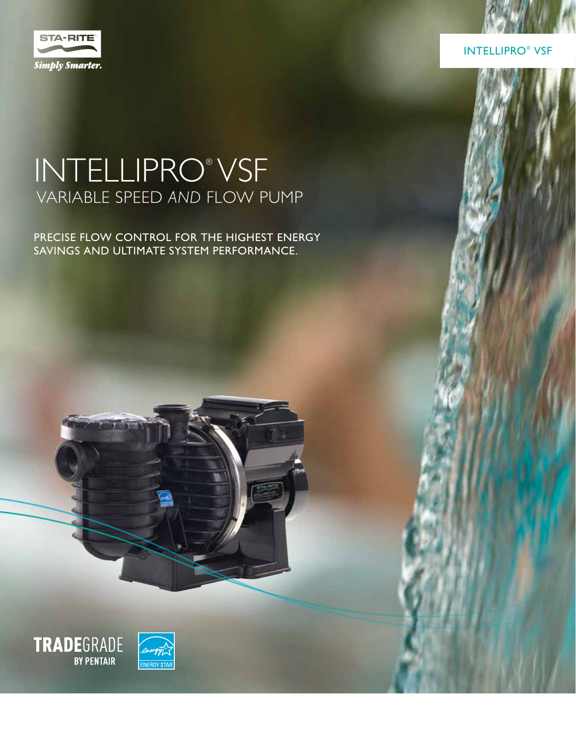

INTELLIPRO® VSF

### INTELLIPRO® VSF VARIABLE SPEED *AND* FLOW PUMP

PRECISE FLOW CONTROL FOR THE HIGHEST ENERGY SAVINGS AND ULTIMATE SYSTEM PERFORMANCE.

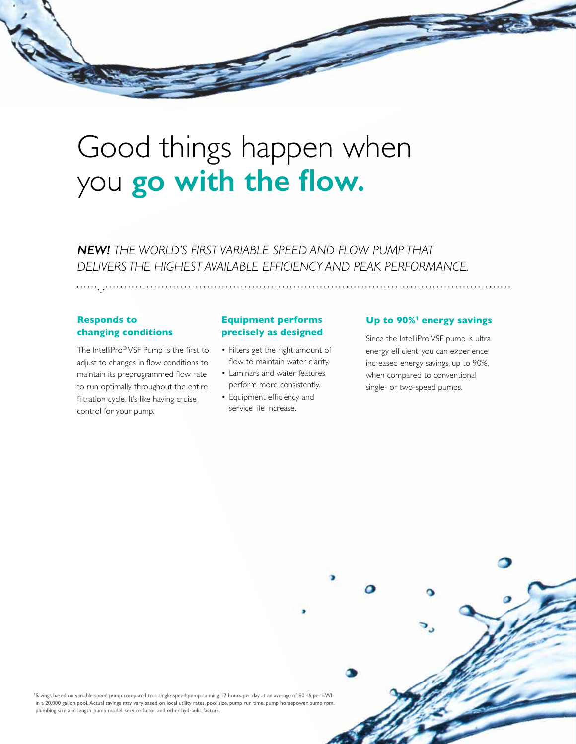## Good things happen when you **go with the flow.**

*NEW! THE WORLD'S FIRST VARIABLE SPEED AND FLOW PUMP THAT DELIVERS THE HIGHEST AVAILABLE EFFICIENCY AND PEAK PERFORMANCE.*

#### **Responds to changing conditions**

The IntelliPro® VSF Pump is the first to adjust to changes in flow conditions to maintain its preprogrammed flow rate to run optimally throughout the entire filtration cycle. It's like having cruise control for your pump.

#### **Equipment performs precisely as designed**

- Filters get the right amount of flow to maintain water clarity.
- Laminars and water features perform more consistently.
- Equipment efficiency and service life increase.

#### Up to 90%<sup>1</sup> energy savings

Since the IntelliPro VSF pump is ultra energy efficient, you can experience increased energy savings, up to 90%, when compared to conventional single- or two-speed pumps.

**<sup>1</sup>**Savings based on variable speed pump compared to a single-speed pump running 12 hours per day at an average of \$0.16 per kWh in a 20,000 gallon pool. Actual savings may vary based on local utility rates, pool size, pump run time, pump horsepower, pump rpm, plumbing size and length, pump model, service factor and other hydraulic factors.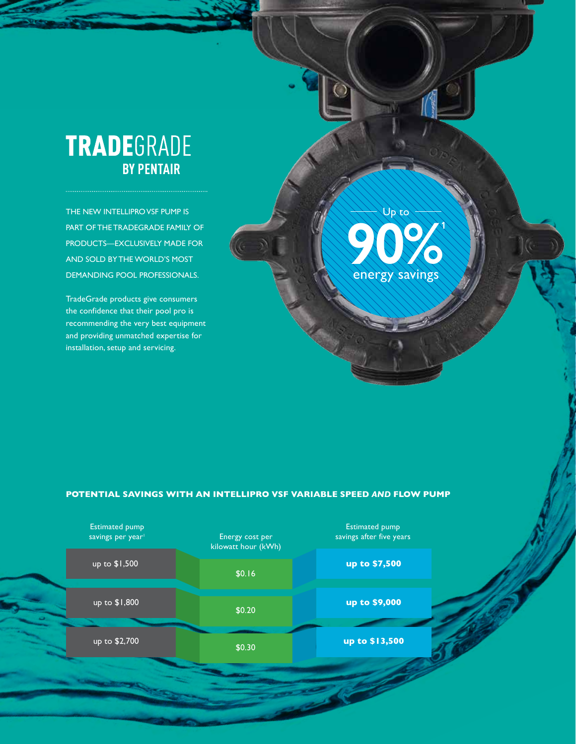### **TRADE**GRADE **BY PENTAIR**

THE NEW INTELLIPRO VSF PUMP IS PART OF THE TRADEGRADE FAMILY OF PRODUCTS—EXCLUSIVELY MADE FOR AND SOLD BY THE WORLD'S MOST DEMANDING POOL PROFESSIONALS.

TradeGrade products give consumers the confidence that their pool pro is recommending the very best equipment and providing unmatched expertise for installation, setup and servicing.

# **90%<sup>1</sup>** energy savings Up to

#### **POTENTIAL SAVINGS WITH AN INTELLIPRO VSF VARIABLE SPEED** *AND* **FLOW PUMP**

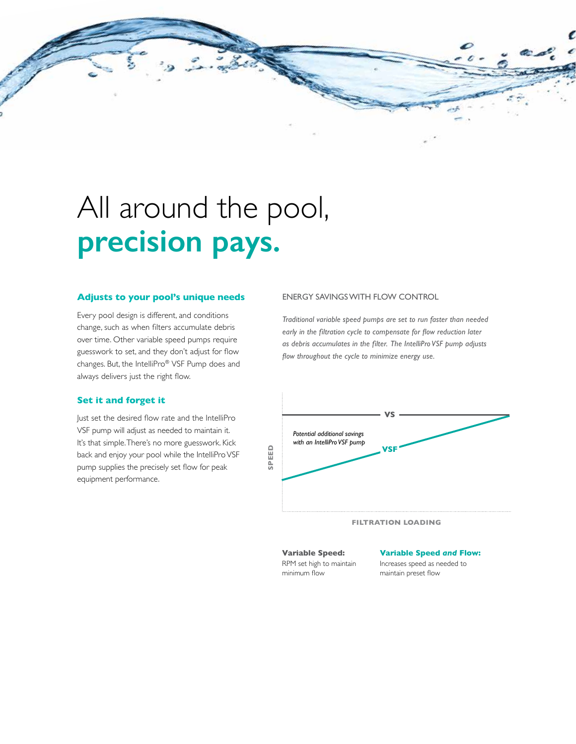

## All around the pool, **precision pays.**

#### **Adjusts to your pool's unique needs**

Every pool design is different, and conditions change, such as when filters accumulate debris over time. Other variable speed pumps require guesswork to set, and they don't adjust for flow changes. But, the IntelliPro® VSF Pump does and always delivers just the right flow.

#### **Set it and forget it**

Just set the desired flow rate and the IntelliPro VSF pump will adjust as needed to maintain it. It's that simple. There's no more guesswork. Kick back and enjoy your pool while the IntelliPro VSF pump supplies the precisely set flow for peak equipment performance.

#### ENERGY SAVINGS WITH FLOW CONTROL

*Traditional variable speed pumps are set to run faster than needed early in the filtration cycle to compensate for flow reduction later as debris accumulates in the filter. The IntelliPro VSF pump adjusts flow throughout the cycle to minimize energy use.*



#### **FILTRATION LOADING**

**Variable Speed:**  RPM set high to maintain minimum flow

#### **Variable Speed** *and* **Flow:**

Increases speed as needed to maintain preset flow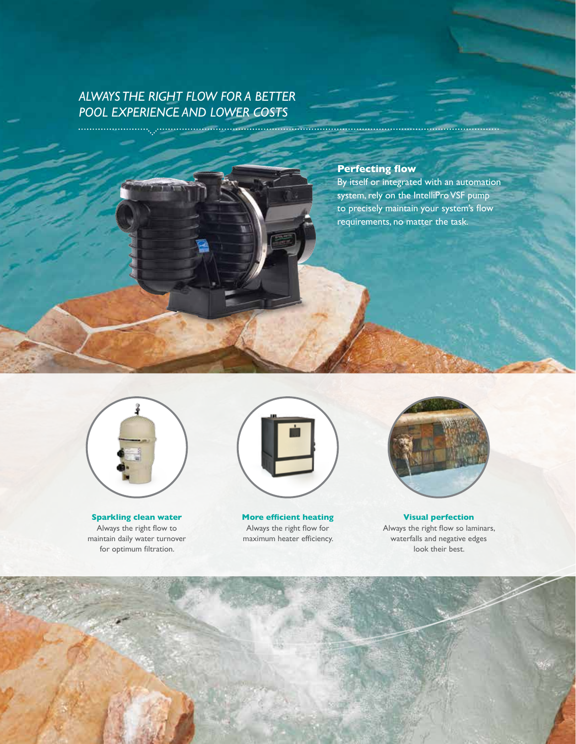### *ALWAYS THE RIGHT FLOW FOR A BETTER POOL EXPERIENCE AND LOWER COSTS*

#### **Perfecting flow**

By itself or integrated with an automation system, rely on the IntelliPro VSF pump to precisely maintain your system's flow requirements, no matter the task.



**Sparkling clean water** Always the right flow to maintain daily water turnover for optimum filtration.



**More efficient heating** Always the right flow for maximum heater efficiency.



**Visual perfection** Always the right flow so laminars, waterfalls and negative edges look their best.

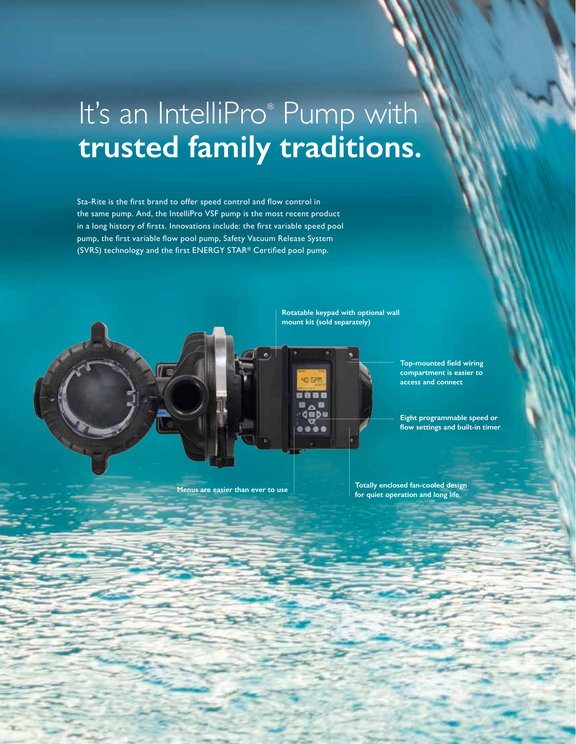## It's an IntelliPro® Pump with **trusted family traditions.**

Sta-Rite is the first brand to offer speed control and flow control in the same pump. And, the IntelliPro VSF pump is the most recent product in a long history of firsts. Innovations include: the first variable speed pool pump, the first variable flow pool pump, Safety Vacuum Release System (SVRS) technology and the first ENERGY STAR® Certified pool pump.

> **Rotatable keypad with optional wall mount kit (sold separately)**



**Top-mounted field wiring compartment is easier to access and connect** 

**Eight programmable speed or flow settings and built-in timer**

**Menus are easier than ever to use** 

**Totally enclosed fan-cooled design for quiet operation and long life**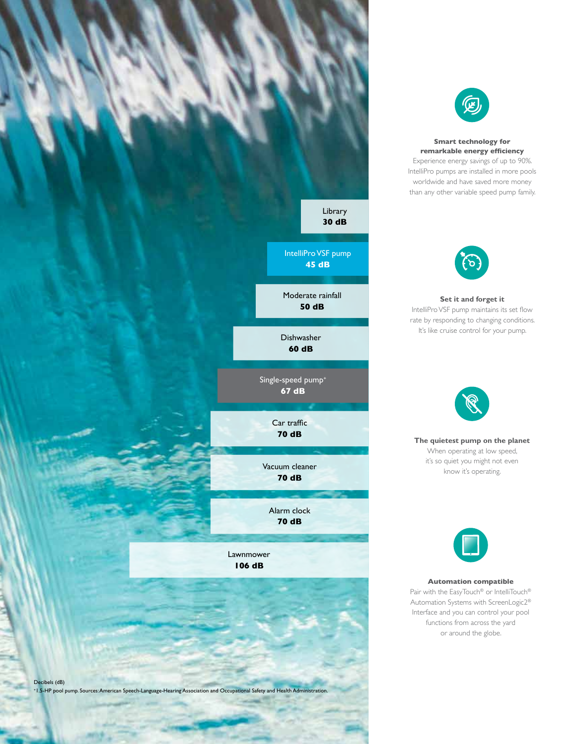



**Smart technology for remarkable energy efficiency** Experience energy savings of up to 90%. IntelliPro pumps are installed in more pools worldwide and have saved more money than any other variable speed pump family.



**Set it and forget it** IntelliPro VSF pump maintains its set flow rate by responding to changing conditions. It's like cruise control for your pump.



**The quietest pump on the planet** When operating at low speed, it's so quiet you might not even know it's operating.



**Automation compatible** 

Pair with the EasyTouch® or IntelliTouch® Automation Systems with ScreenLogic2® Interface and you can control your pool functions from across the yard or around the globe.